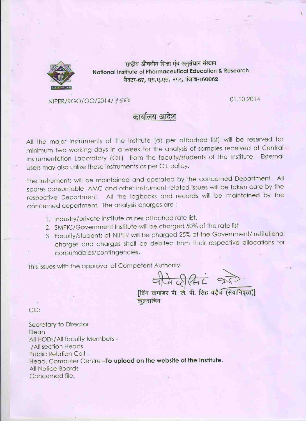

राष्ट्रीय औषधीय शिक्षा एंव अनुसंधान संस्थान National Institute of Pharmaceutical Education & Research सैक्टर-67, एस.ए.एस. नगर, पंजाब-160062

NIPER/RGO/OO/2014/1560

01.10.2014

# कार्यालय आदेश

All the major instruments of the Institute (as per attached list) will be reserved for minimum two working days in a week for the analysis of samples received at Central Instrumentation Laboratory (CIL) from the faculty/students of the Institute. External users may also utilize these instruments as per CIL policy.

The instruments will be maintained and operated by the concerned Department. All spares consumable, AMC and other instrument related issues will be taken care by the respective Department. All the logbooks and records will be maintained by the concerned department. The analysis charges are:

- 1. Industry/private Institute as per attached rate list.
- 2. SMPIC/Government Institute will be charged 50% of the rate list
- 3. Faculty/students of NIPER will be charged 25% of the Government/Institutional charges and charges shall be debited from their respective allocations for consumables/contingencies.

This issues with the approval of Competent Authority.

 $47.20$ 

विंग कमांडर पी. जे. पी. सिंह वड़ैच (सेवानिवृत्त)] कुलसचिव

CC:

Secretary to Director **Dean** All HODs/All faculty Members -/All section Heads Public Relation Cell-Head, Computer Centre-To upload on the website of the Institute. **All Notice Boards** Concerned file.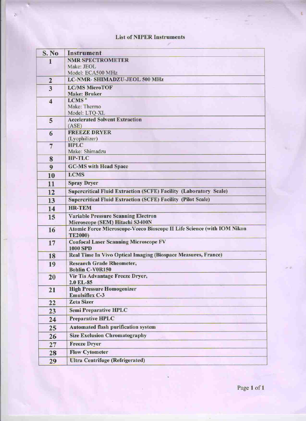### **List of NIPER Instruments**

ý.

| S. No.                  | <b>Instrument</b>                                                                                         |  |
|-------------------------|-----------------------------------------------------------------------------------------------------------|--|
| 1                       | <b>NMR SPECTROMETER</b>                                                                                   |  |
|                         | Make: JEOL                                                                                                |  |
|                         | Model: ECA500 MHz<br>LC-NMR- SHIMADZU-JEOL 500 MHz                                                        |  |
| $\overline{2}$          |                                                                                                           |  |
| $\overline{\mathbf{3}}$ | <b>LC/MS MicroTOF</b><br><b>Make: Bruker</b>                                                              |  |
| $\boldsymbol{4}$        | LCMS <sup>n</sup>                                                                                         |  |
|                         | Make: Thermo                                                                                              |  |
|                         | Model: LTQ-XL                                                                                             |  |
| 5                       | <b>Accelerated Solvent Extraction</b>                                                                     |  |
|                         | (ASE)<br><b>FREEZE DRYER</b>                                                                              |  |
| 6                       | (Lyophilizer)                                                                                             |  |
| $\overline{7}$          | <b>HPLC</b>                                                                                               |  |
|                         | Make: Shimadzu                                                                                            |  |
| 8                       | <b>HP-TLC</b>                                                                                             |  |
| 9                       | <b>GC-MS with Head Space</b>                                                                              |  |
| 10                      | <b>LCMS</b>                                                                                               |  |
| 11                      | <b>Spray Dryer</b>                                                                                        |  |
| 12                      | <b>Supercritical Fluid Extraction (SCFE) Facility (Laboratory Scale)</b>                                  |  |
| 13                      | <b>Supercritical Fluid Extraction (SCFE) Facility (Pilot Scale)</b>                                       |  |
| 14                      | <b>HR-TEM</b>                                                                                             |  |
| 15                      | <b>Variable Pressure Scanning Electron</b>                                                                |  |
|                         | Microscope (SEM) Hitachi S3400N<br>Atomic Force Microscope-Veeco Bioscope II Life Science (with IOM Nikon |  |
| 16                      | <b>TE2000)</b>                                                                                            |  |
| 17                      | <b>Confocal Laser Scanning Microscope FV</b>                                                              |  |
|                         | <b>1000 SPD</b>                                                                                           |  |
| 18                      | Real Time In Vivo Optical Imaging (Biospace Measures, France)                                             |  |
| 19                      | <b>Research Grade Rheometer,</b>                                                                          |  |
|                         | <b>Bohlin C-V0R150</b><br>Vir Tis Advantage Freeze Dryer,                                                 |  |
| 20                      | 2.0 EL-85                                                                                                 |  |
| 21                      | <b>High Pressure Homogenizer</b>                                                                          |  |
|                         | <b>Emulsiflex C-3</b>                                                                                     |  |
| 22                      | <b>Zeta Sizer</b>                                                                                         |  |
| 23                      | <b>Semi Preparative HPLC</b>                                                                              |  |
| 24                      | <b>Preparative HPLC</b>                                                                                   |  |
| 25                      | <b>Automated flash purification system</b>                                                                |  |
| 26                      | <b>Size Exclusion Chromatography</b>                                                                      |  |
| 27                      | <b>Freeze Dryer</b>                                                                                       |  |
| 28                      | <b>Flow Cytometer</b>                                                                                     |  |
| 29                      | <b>Ultra Centrifuge (Refrigerated)</b>                                                                    |  |

Page 1 of 1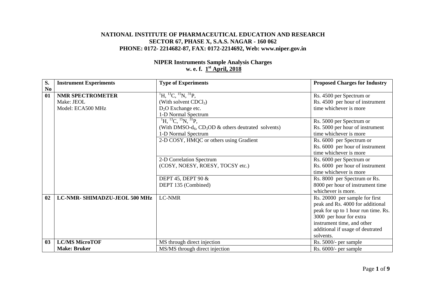#### **NATIONAL INSTITUTE OF PHARMACEUTICAL EDUCATION AND RESEARCH SECTOR 67, PHASE X, S.A.S. NAGAR - 160 062 PHONE: 0172- 2214682-87, FAX: 0172-2214692, Web: www.niper.gov.in**

#### **NIPER Instruments Sample Analysis Charges w. e. f. 1st April, 2018**

| S.             | <b>Instrument Experiments</b> | <b>Type of Experiments</b>                                             | <b>Proposed Charges for Industry</b> |
|----------------|-------------------------------|------------------------------------------------------------------------|--------------------------------------|
| N <sub>0</sub> |                               |                                                                        |                                      |
| 01             | <b>NMR SPECTROMETER</b>       | ${}^{1}H, {}^{13}C, {}^{15}N, {}^{31}P,$                               | Rs. 4500 per Spectrum or             |
|                | Make: JEOL                    | (With solvent $CDCl3$ )                                                | Rs. 4500 per hour of instrument      |
|                | Model: ECA500 MHz             | $D_2O$ Exchange etc.                                                   | time whichever is more               |
|                |                               | 1-D Normal Spectrum                                                    |                                      |
|                |                               | $^{1}$ H, $^{13}$ C, $^{15}$ N, $^{31}$ P,                             | Rs. 5000 per Spectrum or             |
|                |                               | (With DMSO- $d_6$ , CD <sub>3</sub> OD $\&$ others deutrated solvents) | Rs. 5000 per hour of instrument      |
|                |                               | 1-D Normal Spectrum                                                    | time whichever is more               |
|                |                               | 2-D COSY, HMQC or others using Gradient                                | Rs. 6000 per Spectrum or             |
|                |                               |                                                                        | Rs. 6000 per hour of instrument      |
|                |                               |                                                                        | time whichever is more               |
|                |                               | 2-D Correlation Spectrum                                               | Rs. 6000 per Spectrum or             |
|                |                               | (COSY, NOESY, ROESY, TOCSY etc.)                                       | Rs. 6000 per hour of instrument      |
|                |                               |                                                                        | time whichever is more               |
|                |                               | DEPT 45, DEPT 90 &                                                     | Rs. 8000 per Spectrum or Rs.         |
|                |                               | DEPT 135 (Combined)                                                    | 8000 per hour of instrument time     |
|                |                               |                                                                        | whichever is more.                   |
| 02             | LC-NMR-SHIMADZU-JEOL 500 MHz  | LC-NMR                                                                 | Rs. 20000 per sample for first       |
|                |                               |                                                                        | peak and Rs. 4000 for additional     |
|                |                               |                                                                        | peak for up to 1 hour run time. Rs.  |
|                |                               |                                                                        | 3000 per hour for extra              |
|                |                               |                                                                        | instrument time, and other           |
|                |                               |                                                                        | additional if usage of deutrated     |
|                |                               |                                                                        | solvents.                            |
| 0 <sub>3</sub> | <b>LC/MS MicroTOF</b>         | MS through direct injection                                            | Rs. 5000/- per sample                |
|                | <b>Make: Bruker</b>           | MS/MS through direct injection                                         | Rs. 6000/- per sample                |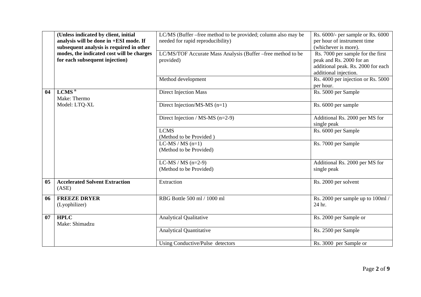|    | (Unless indicated by client, initial<br>analysis will be done in +ESI mode. If<br>subsequent analysis is required in other<br>modes, the indicated cost will be charges<br>for each subsequent injection) | LC/MS (Buffer –free method to be provided; column also may be<br>needed for rapid reproducibility)<br>LC/MS/TOF Accurate Mass Analysis (Buffer –free method to be<br>provided)<br>Method development | Rs. 6000/- per sample or Rs. 6000<br>per hour of instrument time<br>(whichever is more).<br>Rs. 7000 per sample for the first<br>peak and Rs. 2000 for an<br>additional peak. Rs. 2000 for each<br>additional injection.<br>Rs. 4000 per injection or Rs. 5000 |
|----|-----------------------------------------------------------------------------------------------------------------------------------------------------------------------------------------------------------|------------------------------------------------------------------------------------------------------------------------------------------------------------------------------------------------------|----------------------------------------------------------------------------------------------------------------------------------------------------------------------------------------------------------------------------------------------------------------|
|    |                                                                                                                                                                                                           |                                                                                                                                                                                                      | per hour.                                                                                                                                                                                                                                                      |
| 04 | LCMS <sup>n</sup><br>Make: Thermo                                                                                                                                                                         | <b>Direct Injection Mass</b>                                                                                                                                                                         | Rs. 5000 per Sample                                                                                                                                                                                                                                            |
|    | Model: LTQ-XL                                                                                                                                                                                             | Direct Injection/MS-MS (n=1)                                                                                                                                                                         | Rs. 6000 per sample                                                                                                                                                                                                                                            |
|    |                                                                                                                                                                                                           | Direct Injection / MS-MS $(n=2-9)$                                                                                                                                                                   | Additional Rs. 2000 per MS for<br>single peak                                                                                                                                                                                                                  |
|    |                                                                                                                                                                                                           | <b>LCMS</b><br>(Method to be Provided)                                                                                                                                                               | Rs. 6000 per Sample                                                                                                                                                                                                                                            |
|    |                                                                                                                                                                                                           | $LC-MS / MS (n=1)$<br>(Method to be Provided)                                                                                                                                                        | Rs. 7000 per Sample                                                                                                                                                                                                                                            |
|    |                                                                                                                                                                                                           | LC-MS / MS $(n=2-9)$<br>(Method to be Provided)                                                                                                                                                      | Additional Rs. 2000 per MS for<br>single peak                                                                                                                                                                                                                  |
| 05 | <b>Accelerated Solvent Extraction</b><br>(ASE)                                                                                                                                                            | Extraction                                                                                                                                                                                           | Rs. 2000 per solvent                                                                                                                                                                                                                                           |
| 06 | <b>FREEZE DRYER</b><br>(Lyophilizer)                                                                                                                                                                      | RBG Bottle 500 ml / 1000 ml                                                                                                                                                                          | Rs. 2000 per sample up to 100ml /<br>24 hr.                                                                                                                                                                                                                    |
| 07 | <b>HPLC</b><br>Make: Shimadzu                                                                                                                                                                             | <b>Analytical Qualitative</b>                                                                                                                                                                        | Rs. 2000 per Sample or                                                                                                                                                                                                                                         |
|    |                                                                                                                                                                                                           | <b>Analytical Quantitative</b>                                                                                                                                                                       | Rs. 2500 per Sample                                                                                                                                                                                                                                            |
|    |                                                                                                                                                                                                           | Using Conductive/Pulse detectors                                                                                                                                                                     | Rs. 3000 per Sample or                                                                                                                                                                                                                                         |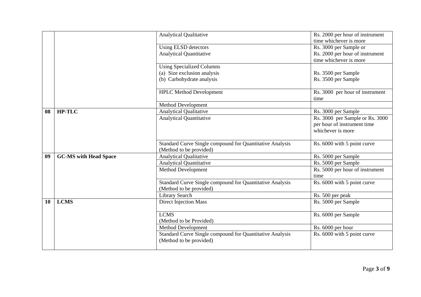|           |                              | <b>Analytical Qualitative</b>                            | Rs. 2000 per hour of instrument                           |
|-----------|------------------------------|----------------------------------------------------------|-----------------------------------------------------------|
|           |                              |                                                          | time whichever is more                                    |
|           |                              | Using ELSD detectors<br><b>Analytical Quantitative</b>   | Rs. 3000 per Sample or                                    |
|           |                              |                                                          | Rs. 2000 per hour of instrument<br>time whichever is more |
|           |                              | <b>Using Specialized Columns</b>                         |                                                           |
|           |                              | (a) Size exclusion analysis                              | Rs. 3500 per Sample                                       |
|           |                              | (b) Carbohydrate analysis                                | Rs. 3500 per Sample                                       |
|           |                              |                                                          |                                                           |
|           |                              | <b>HPLC</b> Method Development                           | Rs. 3000 per hour of instrument                           |
|           |                              |                                                          | time                                                      |
|           |                              | <b>Method Development</b>                                |                                                           |
| 08        | <b>HP-TLC</b>                | <b>Analytical Qualitative</b>                            | Rs. 3000 per Sample                                       |
|           |                              | <b>Analytical Quantitative</b>                           | Rs. 3000 per Sample or Rs. 3000                           |
|           |                              |                                                          | per hour of instrument time                               |
|           |                              |                                                          | whichever is more                                         |
|           |                              |                                                          |                                                           |
|           |                              | Standard Curve Single compound for Quantitative Analysis | Rs. 6000 with 5 point curve                               |
|           |                              | (Method to be provided)                                  |                                                           |
| 09        | <b>GC-MS with Head Space</b> | <b>Analytical Qualitative</b>                            | Rs. 5000 per Sample                                       |
|           |                              | <b>Analytical Quantitative</b>                           | Rs. 5000 per Sample                                       |
|           |                              | Method Development                                       | Rs. 5000 per hour of instrument                           |
|           |                              |                                                          | time                                                      |
|           |                              | Standard Curve Single compound for Quantitative Analysis | Rs. 6000 with 5 point curve                               |
|           |                              | (Method to be provided)                                  |                                                           |
|           |                              | <b>Library Search</b>                                    | Rs. 500 per peak                                          |
| <b>10</b> | <b>LCMS</b>                  | <b>Direct Injection Mass</b>                             | Rs. 5000 per Sample                                       |
|           |                              |                                                          |                                                           |
|           |                              | <b>LCMS</b>                                              | Rs. 6000 per Sample                                       |
|           |                              | (Method to be Provided)                                  |                                                           |
|           |                              | Method Development                                       | Rs. 6000 per hour                                         |
|           |                              | Standard Curve Single compound for Quantitative Analysis | Rs. 6000 with 5 point curve                               |
|           |                              | (Method to be provided)                                  |                                                           |
|           |                              |                                                          |                                                           |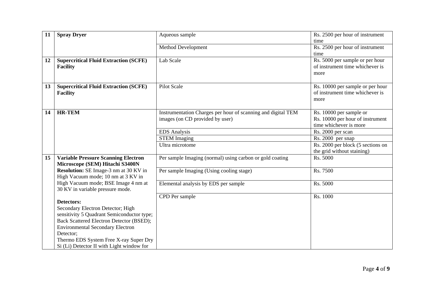| 11 | <b>Spray Dryer</b>                              | Aqueous sample                                               | Rs. 2500 per hour of instrument   |
|----|-------------------------------------------------|--------------------------------------------------------------|-----------------------------------|
|    |                                                 |                                                              | time                              |
|    |                                                 | <b>Method Development</b>                                    | Rs. 2500 per hour of instrument   |
|    |                                                 |                                                              | time                              |
| 12 | <b>Supercritical Fluid Extraction (SCFE)</b>    | Lab Scale                                                    | Rs. 5000 per sample or per hour   |
|    | <b>Facility</b>                                 |                                                              | of instrument time whichever is   |
|    |                                                 |                                                              | more                              |
|    |                                                 |                                                              |                                   |
| 13 | <b>Supercritical Fluid Extraction (SCFE)</b>    | Pilot Scale                                                  | Rs. 10000 per sample or per hour  |
|    | <b>Facility</b>                                 |                                                              | of instrument time whichever is   |
|    |                                                 |                                                              | more                              |
| 14 | <b>HR-TEM</b>                                   | Instrumentation Charges per hour of scanning and digital TEM | Rs. 10000 per sample or           |
|    |                                                 | images (on CD provided by user)                              | Rs. 10000 per hour of instrument  |
|    |                                                 |                                                              | time whichever is more            |
|    |                                                 | <b>EDS</b> Analysis                                          | Rs. 2000 per scan                 |
|    |                                                 | <b>STEM Imaging</b>                                          | Rs. 2000 per snap                 |
|    |                                                 | Ultra microtome                                              | Rs. 2000 per block (5 sections on |
|    |                                                 |                                                              | the grid without staining)        |
| 15 | <b>Variable Pressure Scanning Electron</b>      | Per sample Imaging (normal) using carbon or gold coating     | Rs. 5000                          |
|    | Microscope (SEM) Hitachi S3400N                 |                                                              |                                   |
|    | Resolution: SE Image-3 nm at 30 KV in           | Per sample Imaging (Using cooling stage)                     | Rs. 7500                          |
|    | High Vacuum mode; 10 nm at 3 KV in              |                                                              |                                   |
|    | High Vacuum mode; BSE Image 4 nm at             | Elemental analysis by EDS per sample                         | Rs. 5000                          |
|    | 30 KV in variable pressure mode.                |                                                              |                                   |
|    | <b>Detectors:</b>                               | CPD Per sample                                               | Rs. 1000                          |
|    | Secondary Electron Detector; High               |                                                              |                                   |
|    | sensitivity 5 Quadrant Semiconductor type;      |                                                              |                                   |
|    | <b>Back Scattered Electron Detector (BSED);</b> |                                                              |                                   |
|    | <b>Environmental Secondary Electron</b>         |                                                              |                                   |
|    | Detector;                                       |                                                              |                                   |
|    | Thermo EDS System Free X-ray Super Dry          |                                                              |                                   |
|    | Si (Li) Detector II with Light window for       |                                                              |                                   |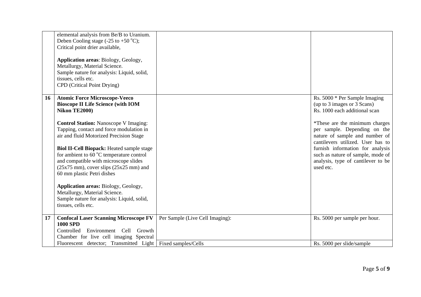|                 | elemental analysis from Be/B to Uranium.<br>Deben Cooling stage $(-25 \text{ to } +50 \degree \text{C});$<br>Critical point drier available,                                                                      |                                 |                                                                                                                                       |
|-----------------|-------------------------------------------------------------------------------------------------------------------------------------------------------------------------------------------------------------------|---------------------------------|---------------------------------------------------------------------------------------------------------------------------------------|
|                 | Application areas: Biology, Geology,<br>Metallurgy, Material Science.<br>Sample nature for analysis: Liquid, solid,<br>tissues, cells etc.<br>CPD (Critical Point Drying)                                         |                                 |                                                                                                                                       |
| 16 <sup>1</sup> | <b>Atomic Force Microscope-Veeco</b><br><b>Bioscope II Life Science (with IOM</b><br>Nikon TE2000)                                                                                                                |                                 | Rs. 5000 * Per Sample Imaging<br>(up to 3 images or 3 Scans)<br>Rs. 1000 each additional scan                                         |
|                 | <b>Control Station: Nanoscope V Imaging:</b><br>Tapping, contact and force modulation in<br>air and fluid Motorized Precision Stage                                                                               |                                 | *These are the minimum charges<br>per sample. Depending on the<br>nature of sample and number of<br>cantilevers utilized. User has to |
|                 | <b>Biol II-Cell Biopack: Heated sample stage</b><br>for ambient to 60 °C temperature control<br>and compatible with microscope slides<br>$(25x75$ mm), cover slips $(25x25$ mm) and<br>60 mm plastic Petri dishes |                                 | furnish information for analysis<br>such as nature of sample, mode of<br>analysis, type of cantilever to be<br>used etc.              |
|                 | Application areas: Biology, Geology,<br>Metallurgy, Material Science.<br>Sample nature for analysis: Liquid, solid,<br>tissues, cells etc.                                                                        |                                 |                                                                                                                                       |
| 17              | <b>Confocal Laser Scanning Microscope FV</b><br><b>1000 SPD</b><br>Controlled<br>Environment Cell Growth<br>Chamber for live cell imaging Spectral                                                                | Per Sample (Live Cell Imaging): | Rs. 5000 per sample per hour.                                                                                                         |
|                 | Fluorescent detector; Transmitted Light                                                                                                                                                                           | Fixed samples/Cells             | Rs. 5000 per slide/sample                                                                                                             |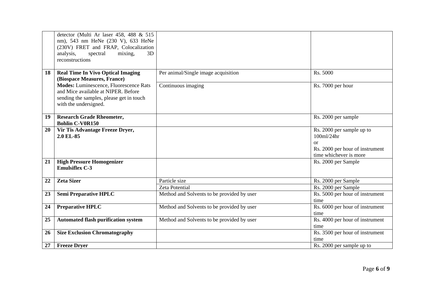|    | detector (Multi Ar laser 458, 488 & 515       |                                            |                                 |
|----|-----------------------------------------------|--------------------------------------------|---------------------------------|
|    | nm), 543 nm HeNe (230 V), 633 HeNe            |                                            |                                 |
|    | (230V) FRET and FRAP, Colocalization          |                                            |                                 |
|    | 3D                                            |                                            |                                 |
|    | analysis,<br>spectral<br>mixing,              |                                            |                                 |
|    | reconstructions                               |                                            |                                 |
| 18 | <b>Real Time In Vivo Optical Imaging</b>      | Per animal/Single image acquisition        | Rs. 5000                        |
|    | (Biospace Measures, France)                   |                                            |                                 |
|    | <b>Modes:</b> Luminescence, Fluorescence Rats | Continuous imaging                         | Rs. 7000 per hour               |
|    | and Mice available at NIPER. Before           |                                            |                                 |
|    | sending the samples, please get in touch      |                                            |                                 |
|    | with the undersigned.                         |                                            |                                 |
|    |                                               |                                            |                                 |
| 19 | <b>Research Grade Rheometer,</b>              |                                            | Rs. 2000 per sample             |
|    | <b>Bohlin C-V0R150</b>                        |                                            |                                 |
| 20 | Vir Tis Advantage Freeze Dryer,               |                                            | Rs. 2000 per sample up to       |
|    | 2.0 EL-85                                     |                                            | 100ml/24hr                      |
|    |                                               |                                            | $\alpha$                        |
|    |                                               |                                            | Rs. 2000 per hour of instrument |
|    |                                               |                                            | time whichever is more          |
| 21 | <b>High Pressure Homogenizer</b>              |                                            | Rs. 2000 per Sample             |
|    | <b>Emulsiflex C-3</b>                         |                                            |                                 |
|    |                                               |                                            |                                 |
| 22 | <b>Zeta Sizer</b>                             | Particle size                              | Rs. 2000 per Sample             |
|    |                                               | Zeta Potential                             | Rs. 2000 per Sample             |
| 23 | <b>Semi Preparative HPLC</b>                  | Method and Solvents to be provided by user | Rs. 5000 per hour of instrument |
|    |                                               |                                            | time                            |
| 24 | <b>Preparative HPLC</b>                       | Method and Solvents to be provided by user | Rs. 6000 per hour of instrument |
|    |                                               |                                            | time                            |
| 25 | <b>Automated flash purification system</b>    | Method and Solvents to be provided by user | Rs. 4000 per hour of instrument |
|    |                                               |                                            | time                            |
| 26 | <b>Size Exclusion Chromatography</b>          |                                            | Rs. 3500 per hour of instrument |
|    |                                               |                                            | time                            |
| 27 | <b>Freeze Dryer</b>                           |                                            | Rs. 2000 per sample up to       |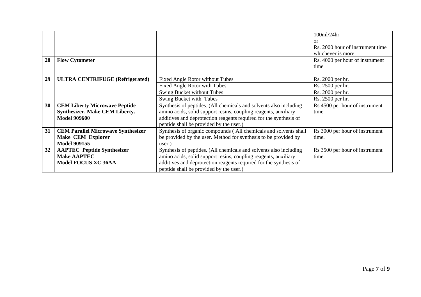|    |                                           |                                                                   | 100ml/24hr                       |
|----|-------------------------------------------|-------------------------------------------------------------------|----------------------------------|
|    |                                           |                                                                   | or                               |
|    |                                           |                                                                   | Rs. 2000 hour of instrument time |
|    |                                           |                                                                   | whichever is more                |
| 28 | <b>Flow Cytometer</b>                     |                                                                   | Rs. 4000 per hour of instrument  |
|    |                                           |                                                                   | time                             |
|    |                                           |                                                                   |                                  |
| 29 | <b>ULTRA CENTRIFUGE (Refrigerated)</b>    | <b>Fixed Angle Rotor without Tubes</b>                            | Rs. 2000 per hr.                 |
|    |                                           | Fixed Angle Rotor with Tubes                                      | Rs. 2500 per hr.                 |
|    |                                           | Swing Bucket without Tubes                                        | Rs. 2000 per hr.                 |
|    |                                           | Swing Bucket with Tubes                                           | Rs. 2500 per hr.                 |
| 30 | <b>CEM Liberty Microwave Peptide</b>      | Synthesis of peptides. (All chemicals and solvents also including | Rs 4500 per hour of instrument   |
|    | <b>Synthesizer. Make CEM Liberty.</b>     | amino acids, solid support resins, coupling reagents, auxiliary   | time                             |
|    | <b>Model 909600</b>                       | additives and deprotection reagents required for the synthesis of |                                  |
|    |                                           | peptide shall be provided by the user.)                           |                                  |
| 31 | <b>CEM Parallel Microwave Synthesizer</b> | Synthesis of organic compounds (All chemicals and solvents shall  | Rs 3000 per hour of instrument   |
|    | <b>Make CEM Explorer</b>                  | be provided by the user. Method for synthesis to be provided by   | time.                            |
|    | <b>Model 909155</b>                       | user.)                                                            |                                  |
| 32 | <b>AAPTEC</b> Peptide Synthesizer         | Synthesis of peptides. (All chemicals and solvents also including | Rs 3500 per hour of instrument   |
|    | <b>Make AAPTEC</b>                        | amino acids, solid support resins, coupling reagents, auxiliary   | time.                            |
|    | <b>Model FOCUS XC 36AA</b>                | additives and deprotection reagents required for the synthesis of |                                  |
|    |                                           | peptide shall be provided by the user.)                           |                                  |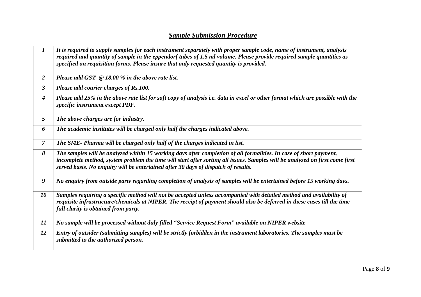## *Sample Submission Procedure*

| $\boldsymbol{I}$ | It is required to supply samples for each instrument separately with proper sample code, name of instrument, analysis<br>required and quantity of sample in the eppendorf tubes of 1.5 ml volume. Please provide required sample quantities as<br>specified on requisition forms. Please insure that only requested quantity is provided. |
|------------------|-------------------------------------------------------------------------------------------------------------------------------------------------------------------------------------------------------------------------------------------------------------------------------------------------------------------------------------------|
| $\overline{2}$   | Please add GST $\oslash$ 18.00 % in the above rate list.                                                                                                                                                                                                                                                                                  |
| $\mathbf{3}$     | Please add courier charges of Rs.100.                                                                                                                                                                                                                                                                                                     |
| $\boldsymbol{4}$ | Please add 25% in the above rate list for soft copy of analysis i.e. data in excel or other format which are possible with the<br>specific instrument except PDF.                                                                                                                                                                         |
| $5\overline{)}$  | The above charges are for industry.                                                                                                                                                                                                                                                                                                       |
| 6                | The academic institutes will be charged only half the charges indicated above.                                                                                                                                                                                                                                                            |
| $\overline{7}$   | The SME- Pharma will be charged only half of the charges indicated in list.                                                                                                                                                                                                                                                               |
| 8                | The samples will be analyzed within 15 working days after completion of all formalities. In case of short payment,<br>incomplete method, system problem the time will start after sorting all issues. Samples will be analyzed on first come first<br>served basis. No enquiry will be entertained after 30 days of dispatch of results.  |
| 9                | No enquiry from outside party regarding completion of analysis of samples will be entertained before 15 working days.                                                                                                                                                                                                                     |
| 10               | Samples requiring a specific method will not be accepted unless accompanied with detailed method and availability of<br>requisite infrastructure/chemicals at NIPER. The receipt of payment should also be deferred in these cases till the time<br>full clarity is obtained from party.                                                  |
| 11               | No sample will be processed without duly filled "Service Request Form" available on NIPER website                                                                                                                                                                                                                                         |
| 12               | Entry of outsider (submitting samples) will be strictly forbidden in the instrument laboratories. The samples must be<br>submitted to the authorized person.                                                                                                                                                                              |